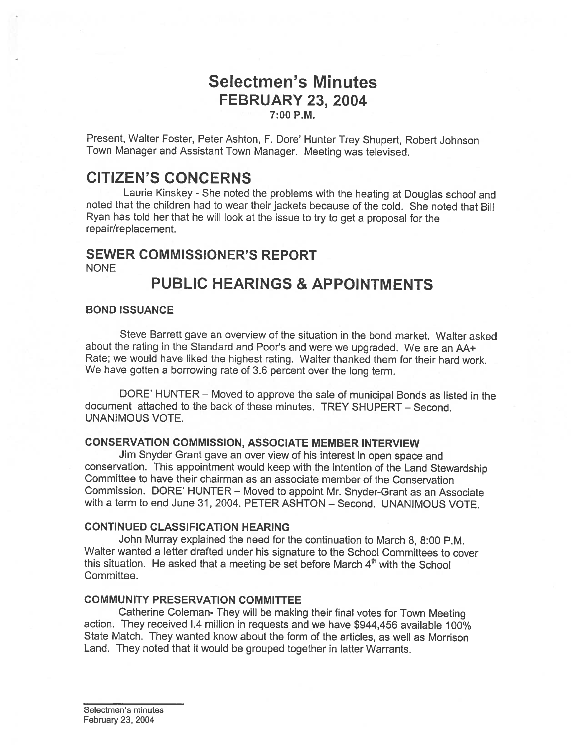# Selectmen's Minutes FEBRUARY 23, 2004

7:00 P.M.

Present, Walter Foster, Peter Ashton, F. Dore' Hunter Trey Shupert, Robert Johnson Town Manager and Assistant Town Manager. Meeting was televised.

# CITIZEN'S CONCERNS

Laurie Kinskey - She noted the problems with the heating at Douglas school and noted that the children had to wear their jackets because of the cold. She noted that Bill Ryan has told her that he will look at the issue to try to ge<sup>t</sup> <sup>a</sup> proposa<sup>l</sup> for the repair/replacement.

## SEWER COMMISSIONER'S REPORT

NONE

# PUBLIC HEARINGS & APPOINTMENTS

#### BOND ISSUANCE

Steve Barrett gave an overview of the situation in the bond market. Walter asked about the rating in the Standard and Poor's and were we upgraded. We are an AA+ Rate; we would have liked the highest rating. Walter thanked them for their hard work. We have gotten a borrowing rate of 3.6 percent over the long term.

DORE' HUNTER — Moved to approve the sale of municipal Bonds as listed in the document attached to the back of these minutes. TREY SHUPERT — Second. UNANIMOUS VOTE.

#### CONSERVATION COMMISSION, ASSOCIATE MEMBER INTERVIEW

Jim Snyder Grant gave an over view of his interest in open space and conservation. This appointment would keep with the intention of the Land Stewardship Committee to have their chairman as an associate member of the Conservation Commission. DORE' HUNTER — Moved to appoint Mr. Snyder-Grant as an Associate with <sup>a</sup> term to end June 31, 2004. PETER ASHTON — Second. UNANIMOUS VOTE.

### CONTINUED CLASSIFICATION HEARING

John Murray explained the need for the continuation to March 8, 8:00 P.M. Walter wanted <sup>a</sup> letter drafted under his signature to the School Committees to cover this situation. He asked that a meeting be set before March  $4<sup>th</sup>$  with the School Committee.

### COMMUNITY PRESERVATION COMMITTEE

Catherine Coleman- They will be making their final votes for Town Meeting action. They received 1.4 million in requests and we have \$944,456 available 100% State Match. They wanted know about the form of the articles, as well as Morrison Land. They noted that it would be grouped together in latter Warrants.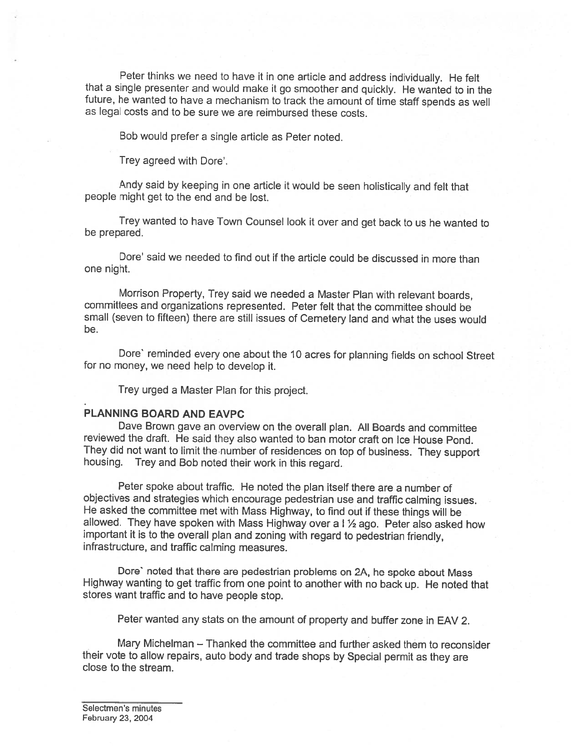Peter thinks we need to have it in one article and address individually. He felt that a single presenter and would make it go smoother and quickly. He wanted to in the future, he wanted to have <sup>a</sup> mechanism to track the amount of time staff spends as well as legal costs and to be sure we are reimbursed these costs.

Bob would prefer <sup>a</sup> single article as Peter noted.

Trey agreed with Dore'.

Andy said by keeping in one article it would be seen holistically and felt that people might get to the end and be lost.

Trey wanted to have Town Counsel look it over and get back to us he wanted to be prepared.

Dore' said we needed to find out if the article could be discussed in more than one night.

Morrison Property, Trey said we needed <sup>a</sup> Master Plan with relevant boards, committees and organizations represented. Peter felt that the committee should be small (seven to fifteen) there are still issues of Cemetery land and what the uses would be.

Dore' reminded every one about the 10 acres for planning fields on school Street for no money, we need help to develop it.

Trey urged <sup>a</sup> Master Plan for this project.

#### PLANNING BOARD AND EAVPC

Dave Brown gave an overview on the overall <sup>p</sup>lan. All Boards and committee reviewed the draft. He said they also wanted to ban motor craft on Ice House Pond. They did not want to limit the number of residences on top of business. They support housing. Trey and Bob noted their work in this regard.

Peter spoke about traffic. He noted the <sup>p</sup>lan itself there are <sup>a</sup> number of objectives and strategies which encourage pedestrian use and traffic calming issues. He asked the committee met with Mass Highway, to find out if these things will be allowed. They have spoken with Mass Highway over a I 1/2 ago. Peter also asked how important it is to the overall <sup>p</sup>lan and zoning with regard to pedestrian friendly, infrastructure, and traffic calming measures.

Dore' noted that there are pedestrian problems on 2A, he spoke about Mass Highway wanting to get traffic from one point to another with no back up. He noted that stores want traffic and to have people stop.

Peter wanted any stats on the amount of property and buffer zone in EAV 2.

Mary Michelman — Thanked the committee and further asked them to reconsider their vote to allow repairs, auto body and trade shops by Special permit as they are close to the stream.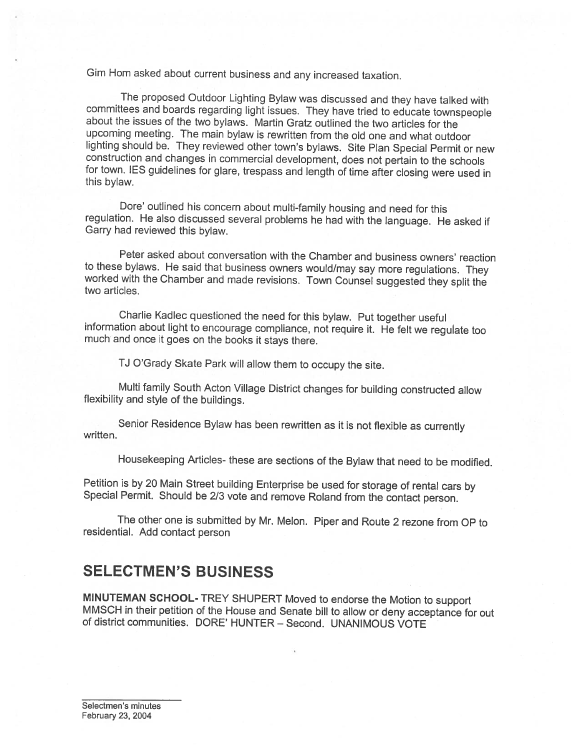Gim Horn asked about current business and any increased taxation.

The proposed Outdoor Lighting Bylaw was discussed and they have talked with committees and boards regarding light issues. They have tried to educate townspeople about the issues of the two bylaws. Martin Gratz outlined the upcoming meeting. The main bylaw is rewritten from the old one and what outdoor lighting should be. They reviewed other town's bylaws. Site Plan Special Permit or new construction and changes in commercial development, does not pertain to the schools for town. IES guidelines for glare, trespass and length of time after closing were used in this bylaw.

Dore' outlined his concern about multi-family housing and need for this regulation. He also discussed several problems he had with the language. He asked if Garry had reviewed this bylaw.

Peter asked about conversation with the Chamber and business owners' reaction worked with the Chamber and made revisions. Town Counsel suggested they split the two articles.

Charlie Kadlec questioned the need for this bylaw. Put together useful information about light to encourage compliance, not require it. He felt we regulate too much and once it goes on the books it stays there.

TJ O'Grady Skate Park will allow them to occupy the site.

Multi family South Acton Village District changes for building constructed allow flexibility and style of the buildings.

Senior Residence Bylaw has been rewritten as it is not flexible as currently written.

Housekeeping Articles- these are sections of the Bylaw that need to be modified.

Petition is by <sup>20</sup> Main Street building Enterprise be used for storage of rental cars by Special Permit. Should be 2/3 vote and remove Roland from the contact person.

The other one is submitted by Mr. Melon. Piper and Route <sup>2</sup> rezone from OP to residential. Add contact person

## SELECTMEN'S BUSINESS

MINUTEMAN SCHOOL- TREY SHUPERT Moved to endorse the Motion to support MMSCH in their petition of the House and Senate bill to allow or deny acceptance for out of district communities. DORE' HUNTER — Second. UNANIMOUS VOTE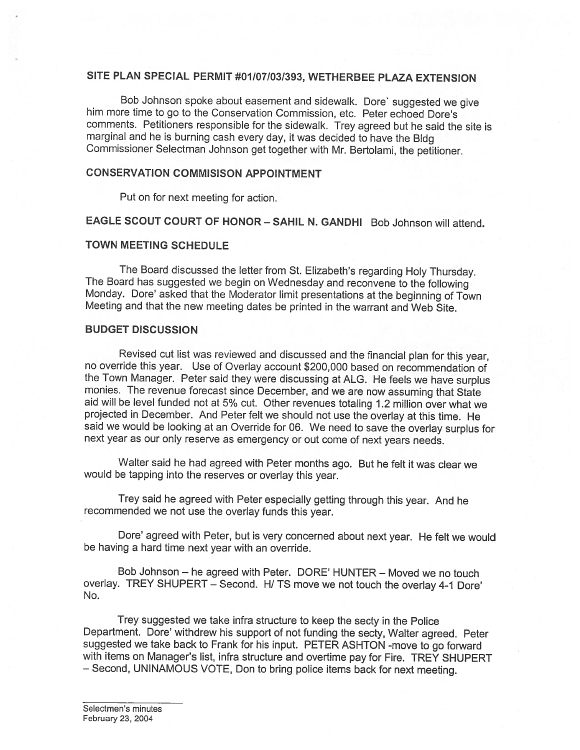## SITE PLAN SPECIAL PERMIT #01/07/031393, WETHERBEE PLAZA EXTENSION

Bob Johnson spoke about easement and sidewalk. Dore' suggested we <sup>g</sup>ive him more time to go to the Conservation Commission, etc. Peter echoed Dore's comments. Petitioners responsible for the sidewalk. Trey agreed but he said the site is marginal and he is burning cash every day, it was decided to have the Bldg Commissioner Selectman Johnson get together with Mr. Bertolami, the petitioner.

### CONSERVATION COMMISISON APPOINTMENT

Put on for next meeting for action.

EAGLE SCOUT COURT OF HONOR - SAHIL N. GANDHI Bob Johnson will attend.

#### TOWN MEETING SCHEDULE

The Board discussed the letter from St. Elizabeth's regarding Holy Thursday.<br>The Board has suggested we begin on Wednesday and reconvene to the following<br>Monday. Dore' asked that the Moderator limit presentations at the be

#### BUDGET DISCUSSION

Revised cut list was reviewed and discussed and the financial <sup>p</sup>lan for this year, no override this year. Use of Overlay account \$200,000 based on recommendation of the Town Manager. Peter said they were discussing at ALG. He feels we have surplus monies. The revenue forecast since December, and we are now assuming that State aid will be level funded not at 5% cut. Other revenues tota projected in December. And Peter felt we should not use the overlay at this time. He said we would be looking at an Override for 06. We need to save the overlay surplus for next year as our only reserve as emergency or out come of next years needs.

Walter said he had agreed with Peter months ago. But he felt it was clear we would be tapping into the reserves or overlay this year.

Trey said he agreed with Peter especially getting through this year. And he recommended we not use the overlay funds this year.

Dote' agreed with Peter, but is very concerned about next year. He felt we would be having <sup>a</sup> hard time next year with an override.

Bob Johnson — he agreed with Peter. DORE' HUNTER — Moved we no touch overlay. TREY SHUPERT - Second. H/ TS move we not touch the overlay 4-1 Dore' No.

Trey suggested we take infra structure to keep the secty in the Police Department. Dore' withdrew his support of not funding the secty, Walter agreed. Peter suggested we take back to Frank for his input. PETER ASHTON -move to go forward with items on Manager's list, infra structure and overtime pay for Fire. TREY SHUPERT — Second, UNINAMOUS VOTE, Don to bring police items back for next meeting.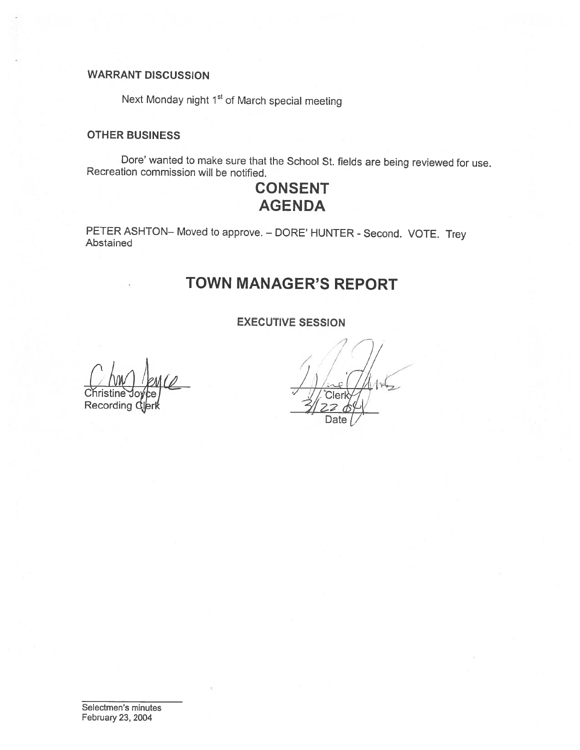## WARRANT DISCUSSION

Next Monday night 1<sup>st</sup> of March special meeting

#### OTHER BUSINESS

Dare' wanted to make sure that the School St. fields are being reviewed for use. Recreation commission will be notified.

# CONSENT **AGENDA**

PETER ASHTON— Moved to approve. — DORE' HUNTER - Second. VOTE. Trey Abstained

# TOWN MANAGER'S REPORT

### EXECUTIVE SESSION

 $\left(\begin{smallmatrix} \cdot \ \cdot \ \cdot \end{smallmatrix}\right)$  $\Gamma$  Christine Joyce **Recording** 

7 7)) Date  $\mathcal{V}$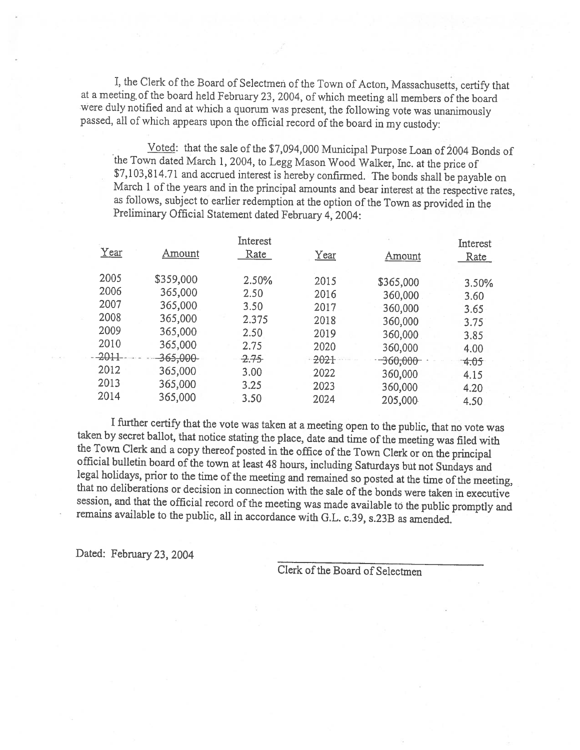I, the Clerk of the Board of Selectmen of the Town of Acton, Massachusetts, certify that at a meeting of the board held February 23, 2004, of which meeting all members of the board were duly notified and at which a quorum passed, all of which appears upon the official record of the board in my custody:

Voted: that the sale of the \$7,094,000 Municipal Purpose Loan of 2004 Bonds of<br>the Town dated March 1, 2004, to Legg Mason Wood Walker, Inc. at the price of<br>\$7,103,814.71 and accrued interest is hereby confirmed. The bonds as follows, subject to earlier redemption at the option of the Town as provided in the Preliminary Official Statement dated february 4, 2004:

|        |                    | Interest |      |                       | Interest |
|--------|--------------------|----------|------|-----------------------|----------|
| Year   | Amount             | Rate     | Year | Amount                | Rate     |
|        |                    |          |      |                       |          |
| 2005   | \$359,000          | 2.50%    | 2015 | \$365,000             | 3.50%    |
| 2006   | 365,000            | 2.50     | 2016 | 360,000               | 3.60     |
| 2007   | 365,000            | 3.50     | 2017 | 360,000               | 3.65     |
| 2008   | 365,000            | 2.375    | 2018 | 360,000               | 3.75     |
| 2009   | 365,000            | 2.50     | 2019 | 360,000               | 3.85     |
| 2010   | 365,000            | 2.75     | 2020 | 360,000               | 4.00     |
| -2011- | <del>365,000</del> | 2.75     | 2021 | - 360 <del>,000</del> | $-4.05$  |
| 2012   | 365,000            | 3.00     | 2022 | 360,000               | 4.15     |
| 2013   | 365,000            | 3.25     | 2023 | 360,000               | 4.20     |
| 2014   | 365,000            | 3.50     | 2024 | 205,000               | 4.50     |
|        |                    |          |      |                       |          |

I further certify that the vote was taken at a meeting open to the public, that no vote was taken by secret ballot, that notice stating the place, date and time of the meeting was filed with the Town Clerk and a copy there

Dated: February 23, 2004

Clerk of the Board of Selectmen